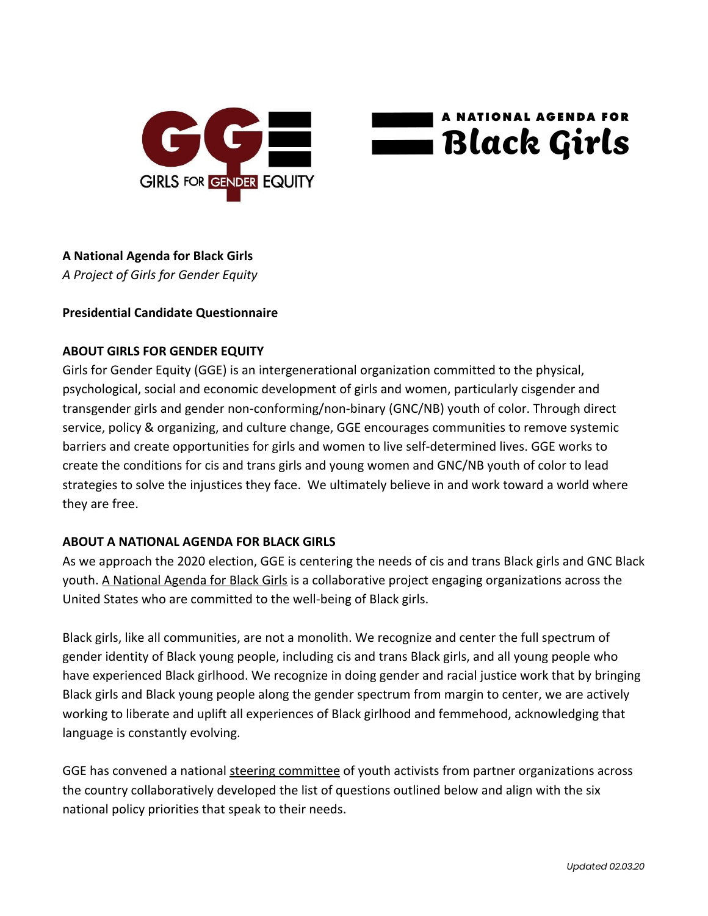



### **A National Agenda for Black Girls**

*A Project of Girls for Gender Equity*

#### **Presidential Candidate Questionnaire**

#### **ABOUT GIRLS FOR GENDER EQUITY**

Girls for Gender Equity (GGE) is an intergenerational organization committed to the physical, psychological, social and economic development of girls and women, particularly cisgender and transgender girls and gender non-conforming/non-binary (GNC/NB) youth of color. Through direct service, policy & organizing, and culture change, GGE encourages communities to remove systemic barriers and create opportunities for girls and women to live self-determined lives. GGE works to create the conditions for cis and trans girls and young women and GNC/NB youth of color to lead strategies to solve the injustices they face. We ultimately believe in and work toward a world where they are free.

### **ABOUT A NATIONAL AGENDA FOR BLACK GIRLS**

As we approach the 2020 election, GGE is centering the needs of cis and trans Black girls and GNC Black youth. [A National Agenda for Black Girls](http://bit.ly/blackgirls2020) is a collaborative project engaging organizations across the United States who are committed to the well-being of Black girls.

Black girls, like all communities, are not a monolith. We recognize and center the full spectrum of gender identity of Black young people, including cis and trans Black girls, and all young people who have experienced Black girlhood. We recognize in doing gender and racial justice work that by bringing Black girls and Black young people along the gender spectrum from margin to center, we are actively working to liberate and uplift all experiences of Black girlhood and femmehood, acknowledging that language is constantly evolving.

GGE has convened a national [steering committee](https://www.ggenyc.org/wp-content/uploads/2019/11/A-National-Agenda-For-Black-Girls.html#sc-section) of youth activists from partner organizations across the country collaboratively developed the list of questions outlined below and align with the six national policy priorities that speak to their needs.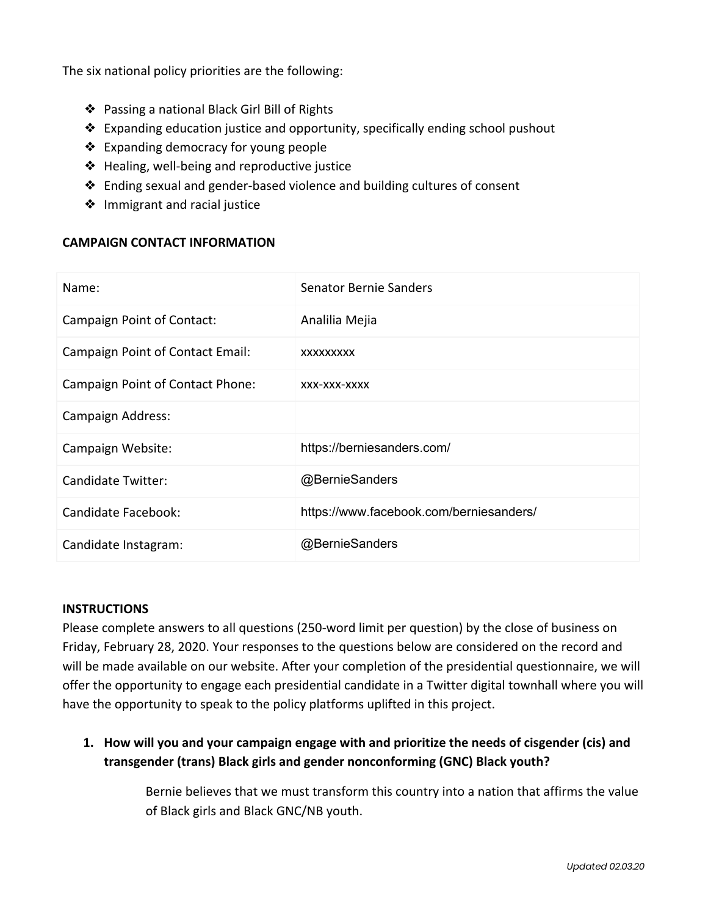The six national policy priorities are the following:

- ❖ Passing a national Black Girl Bill of Rights
- ❖ Expanding education justice and opportunity, specifically ending school pushout
- ❖ Expanding democracy for young people
- ❖ Healing, well-being and reproductive justice
- ❖ Ending sexual and gender-based violence and building cultures of consent
- ❖ Immigrant and racial justice

#### **CAMPAIGN CONTACT INFORMATION**

| Name:                                   | <b>Senator Bernie Sanders</b>           |
|-----------------------------------------|-----------------------------------------|
| Campaign Point of Contact:              | Analilia Mejia                          |
| <b>Campaign Point of Contact Email:</b> | XXXXXXXXX                               |
| Campaign Point of Contact Phone:        | XXX-XXX-XXXX                            |
| Campaign Address:                       |                                         |
| Campaign Website:                       | https://berniesanders.com/              |
| <b>Candidate Twitter:</b>               | @BernieSanders                          |
| Candidate Facebook:                     | https://www.facebook.com/berniesanders/ |
| Candidate Instagram:                    | @BernieSanders                          |

#### **INSTRUCTIONS**

Please complete answers to all questions (250-word limit per question) by the close of business on Friday, February 28, 2020. Your responses to the questions below are considered on the record and will be made available on our website. After your completion of the presidential questionnaire, we will offer the opportunity to engage each presidential candidate in a Twitter digital townhall where you will have the opportunity to speak to the policy platforms uplifted in this project.

**1. How will you and your campaign engage with and prioritize the needs of cisgender (cis) and transgender (trans) Black girls and gender nonconforming (GNC) Black youth?**

> Bernie believes that we must transform this country into a nation that affirms the value of Black girls and Black GNC/NB youth.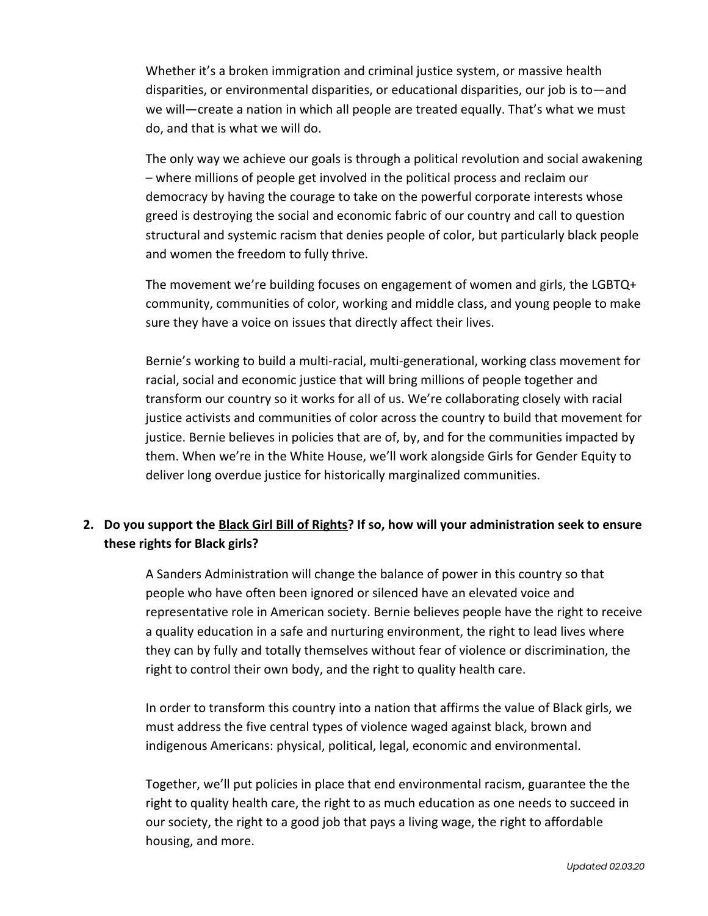Whether it's a broken immigration and criminal justice system, or massive health disparities, or environmental disparities, or educational disparities, our job is to—and we will—create a nation in which all people are treated equally. That's what we must do, and that is what we will do.

The only way we achieve our goals is through a political revolution and social awakening – where millions of people get involved in the political process and reclaim our democracy by having the courage to take on the powerful corporate interests whose greed is destroying the social and economic fabric of our country and call to question structural and systemic racism that denies people of color, but particularly black people and women the freedom to fully thrive.

The movement we're building focuses on engagement of women and girls, the LGBTQ+ community, communities of color, working and middle class, and young people to make sure they have a voice on issues that directly affect their lives.

Bernie's working to build a multi-racial, multi-generational, working class movement for racial, social and economic justice that will bring millions of people together and transform our country so it works for all of us. We're collaborating closely with racial justice activists and communities of color across the country to build that movement for justice. Bernie believes in policies that are of, by, and for the communities impacted by them. When we're in the White House, we'll work alongside Girls for Gender Equity to deliver long overdue justice for historically marginalized communities.

# **2. Do you support the [Black Girl Bill of Rights?](https://www.ggenyc.org/wp-content/uploads/2019/11/A-National-Agenda-For-Black-Girls.html#history-section) If so, how will your administration seek to ensure these rights for Black girls?**

A Sanders Administration will change the balance of power in this country so that people who have often been ignored or silenced have an elevated voice and representative role in American society. Bernie believes people have the right to receive a quality education in a safe and nurturing environment, the right to lead lives where they can by fully and totally themselves without fear of violence or discrimination, the right to control their own body, and the right to quality health care.

In order to transform this country into a nation that affirms the value of Black girls, we must address the five central types of violence waged against black, brown and indigenous Americans: physical, political, legal, economic and environmental.

Together, we'll put policies in place that end environmental racism, guarantee the the right to quality health care, the right to as much education as one needs to succeed in our society, the right to a good job that pays a living wage, the right to affordable housing, and more.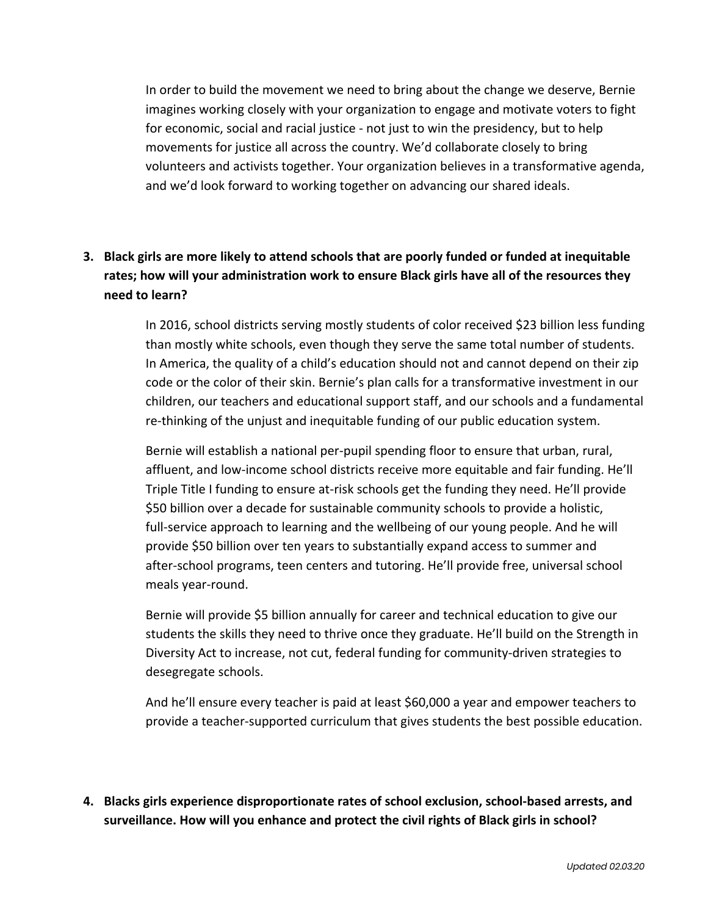In order to build the movement we need to bring about the change we deserve, Bernie imagines working closely with your organization to engage and motivate voters to fight for economic, social and racial justice - not just to win the presidency, but to help movements for justice all across the country. We'd collaborate closely to bring volunteers and activists together. Your organization believes in a transformative agenda, and we'd look forward to working together on advancing our shared ideals.

# **3. Black girls are more likely to attend schools that are poorly funded or funded at inequitable rates; how will your administration work to ensure Black girls have all of the resources they need to learn?**

In 2016, school districts serving mostly students of color received \$23 billion less funding than mostly white schools, even though they serve the same total number of students. In America, the quality of a child's education should not and cannot depend on their zip code or the color of their skin. Bernie's plan calls for a transformative investment in our children, our teachers and educational support staff, and our schools and a fundamental re-thinking of the unjust and inequitable funding of our public education system.

Bernie will establish a national per-pupil spending floor to ensure that urban, rural, affluent, and low-income school districts receive more equitable and fair funding. He'll Triple Title I funding to ensure at-risk schools get the funding they need. He'll provide \$50 billion over a decade for sustainable community schools to provide a holistic, full-service approach to learning and the wellbeing of our young people. And he will provide \$50 billion over ten years to substantially expand access to summer and after-school programs, teen centers and tutoring. He'll provide free, universal school meals year-round.

Bernie will provide \$5 billion annually for career and technical education to give our students the skills they need to thrive once they graduate. He'll build on the Strength in Diversity Act to increase, not cut, federal funding for community-driven strategies to desegregate schools.

And he'll ensure every teacher is paid at least \$60,000 a year and empower teachers to provide a teacher-supported curriculum that gives students the best possible education.

**4. Blacks girls experience disproportionate rates of school exclusion, school-based arrests, and surveillance. How will you enhance and protect the civil rights of Black girls in school?**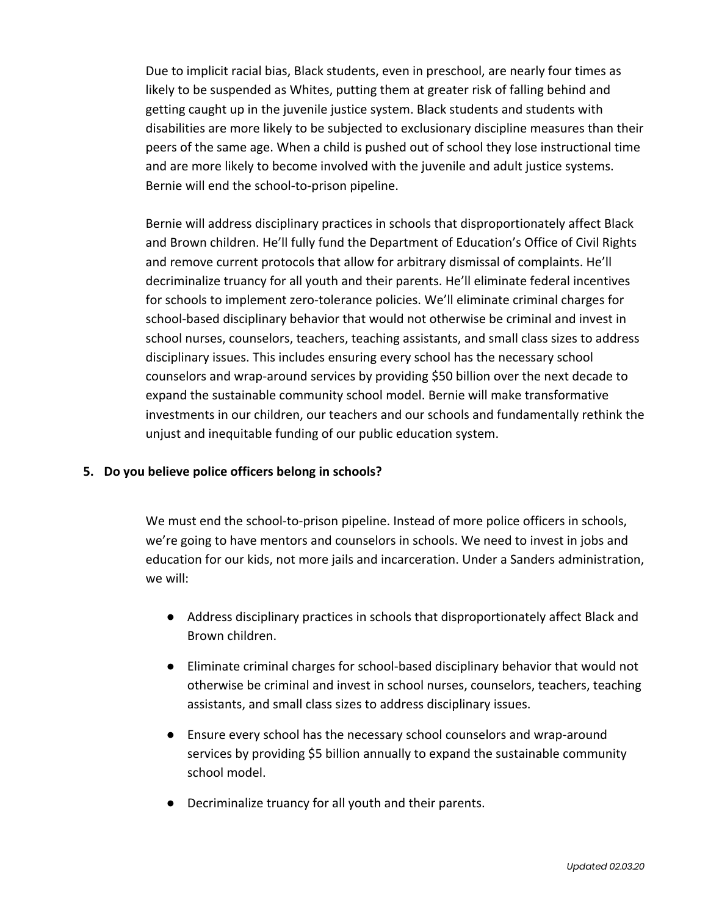Due to implicit racial bias, Black students, even in preschool, are nearly four times as likely to be suspended as Whites, putting them at greater risk of falling behind and getting caught up in the juvenile justice system. Black students and students with disabilities are more likely to be subjected to exclusionary discipline measures than their peers of the same age. When a child is pushed out of school they lose instructional time and are more likely to become involved with the juvenile and adult justice systems. Bernie will end the school-to-prison pipeline.

Bernie will address disciplinary practices in schools that disproportionately affect Black and Brown children. He'll fully fund the Department of Education's Office of Civil Rights and remove current protocols that allow for arbitrary dismissal of complaints. He'll decriminalize truancy for all youth and their parents. He'll eliminate federal incentives for schools to implement zero-tolerance policies. We'll eliminate criminal charges for school-based disciplinary behavior that would not otherwise be criminal and invest in school nurses, counselors, teachers, teaching assistants, and small class sizes to address disciplinary issues. This includes ensuring every school has the necessary school counselors and wrap-around services by providing \$50 billion over the next decade to expand the sustainable community school model. Bernie will make transformative investments in our children, our teachers and our schools and fundamentally rethink the unjust and inequitable funding of our public education system.

#### **5. Do you believe police officers belong in schools?**

We must end the school-to-prison pipeline. Instead of more police officers in schools, we're going to have mentors and counselors in schools. We need to invest in jobs and education for our kids, not more jails and incarceration. Under a Sanders administration, we will:

- Address disciplinary practices in schools that disproportionately affect Black and Brown children.
- Eliminate criminal charges for school-based disciplinary behavior that would not otherwise be criminal and invest in school nurses, counselors, teachers, teaching assistants, and small class sizes to address disciplinary issues.
- Ensure every school has the necessary school counselors and wrap-around services by providing \$5 billion annually to expand the sustainable community school model.
- Decriminalize truancy for all youth and their parents.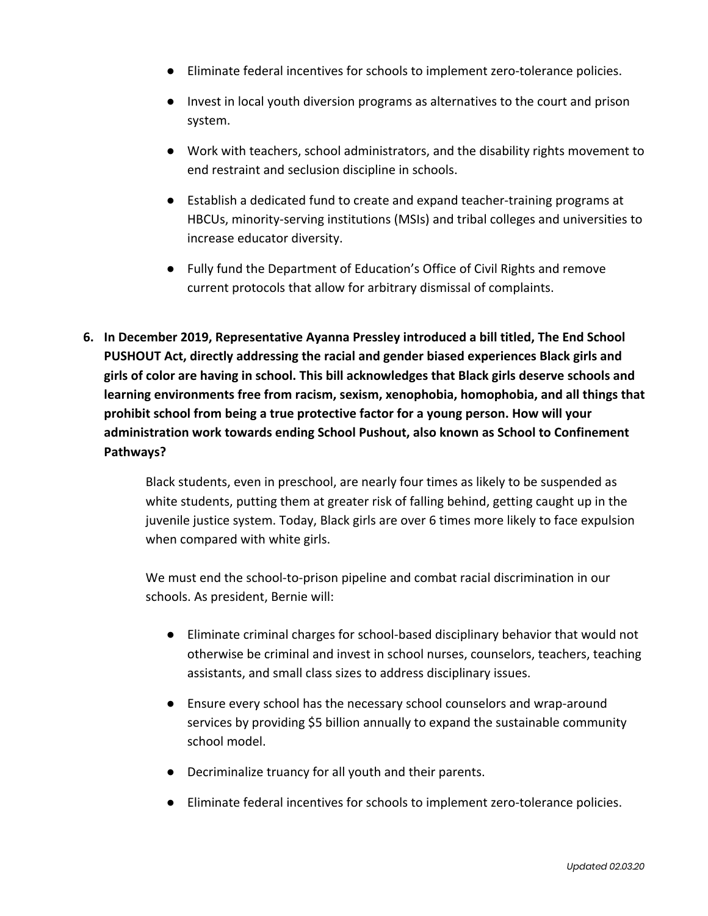- Eliminate federal incentives for schools to implement zero-tolerance policies.
- Invest in local youth diversion programs as alternatives to the court and prison system.
- Work with teachers, school administrators, and the disability rights movement to end restraint and seclusion discipline in schools.
- Establish a dedicated fund to create and expand teacher-training programs at HBCUs, minority-serving institutions (MSIs) and tribal colleges and universities to increase educator diversity.
- Fully fund the Department of Education's Office of Civil Rights and remove current protocols that allow for arbitrary dismissal of complaints.
- **6. In December 2019, Representative Ayanna Pressley introduced a bill titled, The End School PUSHOUT Act, directly addressing the racial and gender biased experiences Black girls and girls of color are having in school. This bill acknowledges that Black girls deserve schools and learning environments free from racism, sexism, xenophobia, homophobia, and all things that prohibit school from being a true protective factor for a young person. How will your administration work towards ending School Pushout, also known as School to Confinement Pathways?**

Black students, even in preschool, are nearly four times as likely to be suspended as white students, putting them at greater risk of falling behind, getting caught up in the juvenile justice system. Today, Black girls are over 6 times more likely to face expulsion when compared with white girls.

We must end the school-to-prison pipeline and combat racial discrimination in our schools. As president, Bernie will:

- Eliminate criminal charges for school-based disciplinary behavior that would not otherwise be criminal and invest in school nurses, counselors, teachers, teaching assistants, and small class sizes to address disciplinary issues.
- Ensure every school has the necessary school counselors and wrap-around services by providing \$5 billion annually to expand the sustainable community school model.
- Decriminalize truancy for all youth and their parents.
- Eliminate federal incentives for schools to implement zero-tolerance policies.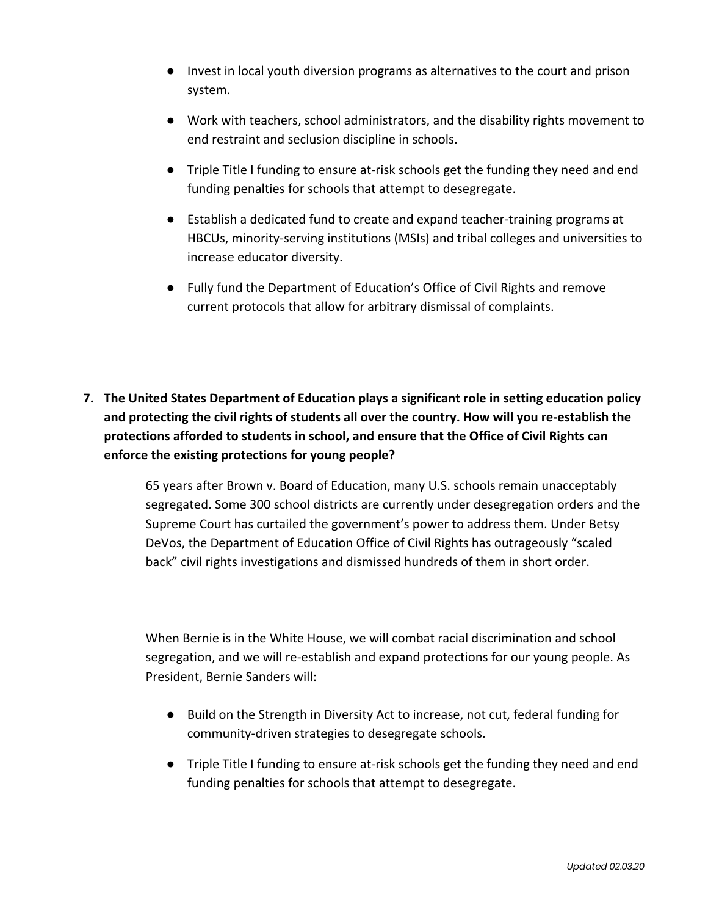- Invest in local youth diversion programs as alternatives to the court and prison system.
- Work with teachers, school administrators, and the disability rights movement to end restraint and seclusion discipline in schools.
- Triple Title I funding to ensure at-risk schools get the funding they need and end funding penalties for schools that attempt to desegregate.
- Establish a dedicated fund to create and expand teacher-training programs at HBCUs, minority-serving institutions (MSIs) and tribal colleges and universities to increase educator diversity.
- Fully fund the Department of Education's Office of Civil Rights and remove current protocols that allow for arbitrary dismissal of complaints.
- **7. The United States Department of Education plays a significant role in setting education policy and protecting the civil rights of students all over the country. How will you re-establish the protections afforded to students in school, and ensure that the Office of Civil Rights can enforce the existing protections for young people?**

65 years after Brown v. Board of Education, many U.S. schools remain unacceptably segregated. Some 300 school districts are currently under desegregation orders and the Supreme Court has curtailed the government's power to address them. Under Betsy DeVos, the Department of Education Office of Civil Rights has outrageously "scaled back" civil rights investigations and dismissed hundreds of them in short order.

When Bernie is in the White House, we will combat racial discrimination and school segregation, and we will re-establish and expand protections for our young people. As President, Bernie Sanders will:

- Build on the Strength in Diversity Act to increase, not cut, federal funding for community-driven strategies to desegregate schools.
- Triple Title I funding to ensure at-risk schools get the funding they need and end funding penalties for schools that attempt to desegregate.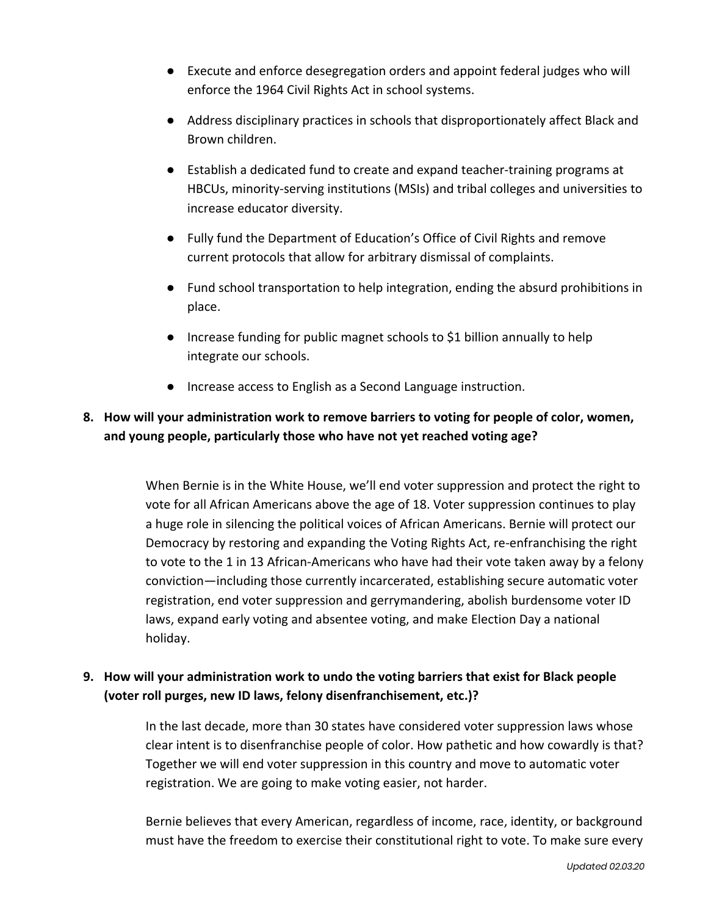- Execute and enforce desegregation orders and appoint federal judges who will enforce the 1964 Civil Rights Act in school systems.
- Address disciplinary practices in schools that disproportionately affect Black and Brown children.
- Establish a dedicated fund to create and expand teacher-training programs at HBCUs, minority-serving institutions (MSIs) and tribal colleges and universities to increase educator diversity.
- Fully fund the Department of Education's Office of Civil Rights and remove current protocols that allow for arbitrary dismissal of complaints.
- Fund school transportation to help integration, ending the absurd prohibitions in place.
- Increase funding for public magnet schools to \$1 billion annually to help integrate our schools.
- Increase access to English as a Second Language instruction.

# **8. How will your administration work to remove barriers to voting for people of color, women, and young people, particularly those who have not yet reached voting age?**

When Bernie is in the White House, we'll end voter suppression and protect the right to vote for all African Americans above the age of 18. Voter suppression continues to play a huge role in silencing the political voices of African Americans. Bernie will protect our Democracy by restoring and expanding the Voting Rights Act, re-enfranchising the right to vote to the 1 in 13 African-Americans who have had their vote taken away by a felony conviction—including those currently incarcerated, establishing secure automatic voter registration, end voter suppression and gerrymandering, abolish burdensome voter ID laws, expand early voting and absentee voting, and make Election Day a national holiday.

## **9. How will your administration work to undo the voting barriers that exist for Black people (voter roll purges, new ID laws, felony disenfranchisement, etc.)?**

In the last decade, more than 30 states have considered voter suppression laws whose clear intent is to disenfranchise people of color. How pathetic and how cowardly is that? Together we will end voter suppression in this country and move to automatic voter registration. We are going to make voting easier, not harder.

Bernie believes that every American, regardless of income, race, identity, or background must have the freedom to exercise their constitutional right to vote. To make sure every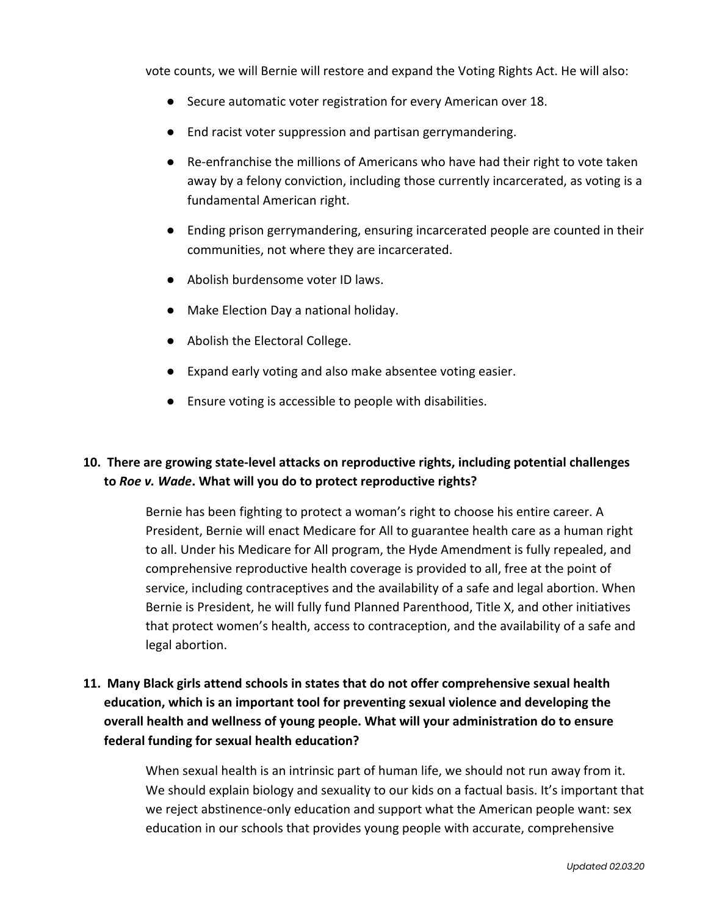vote counts, we will Bernie will restore and expand the Voting Rights Act. He will also:

- Secure automatic voter registration for every American over 18.
- End racist voter suppression and partisan gerrymandering.
- Re-enfranchise the millions of Americans who have had their right to vote taken away by a felony conviction, including those currently incarcerated, as voting is a fundamental American right.
- Ending prison gerrymandering, ensuring incarcerated people are counted in their communities, not where they are incarcerated.
- Abolish burdensome voter ID laws.
- Make Election Day a national holiday.
- Abolish the Electoral College.
- Expand early voting and also make absentee voting easier.
- Ensure voting is accessible to people with disabilities.

## **10. There are growing state-level attacks on reproductive rights, including potential challenges to** *Roe v. Wade***. What will you do to protect reproductive rights?**

Bernie has been fighting to protect a woman's right to choose his entire career. A President, Bernie will enact Medicare for All to guarantee health care as a human right to all. Under his Medicare for All program, the Hyde Amendment is fully repealed, and comprehensive reproductive health coverage is provided to all, free at the point of service, including contraceptives and the availability of a safe and legal abortion. When Bernie is President, he will fully fund Planned Parenthood, Title X, and other initiatives that protect women's health, access to contraception, and the availability of a safe and legal abortion.

# **11. Many Black girls attend schools in states that do not offer comprehensive sexual health education, which is an important tool for preventing sexual violence and developing the overall health and wellness of young people. What will your administration do to ensure federal funding for sexual health education?**

When sexual health is an intrinsic part of human life, we should not run away from it. We should explain biology and sexuality to our kids on a factual basis. It's important that we reject abstinence-only education and support what the American people want: sex education in our schools that provides young people with accurate, comprehensive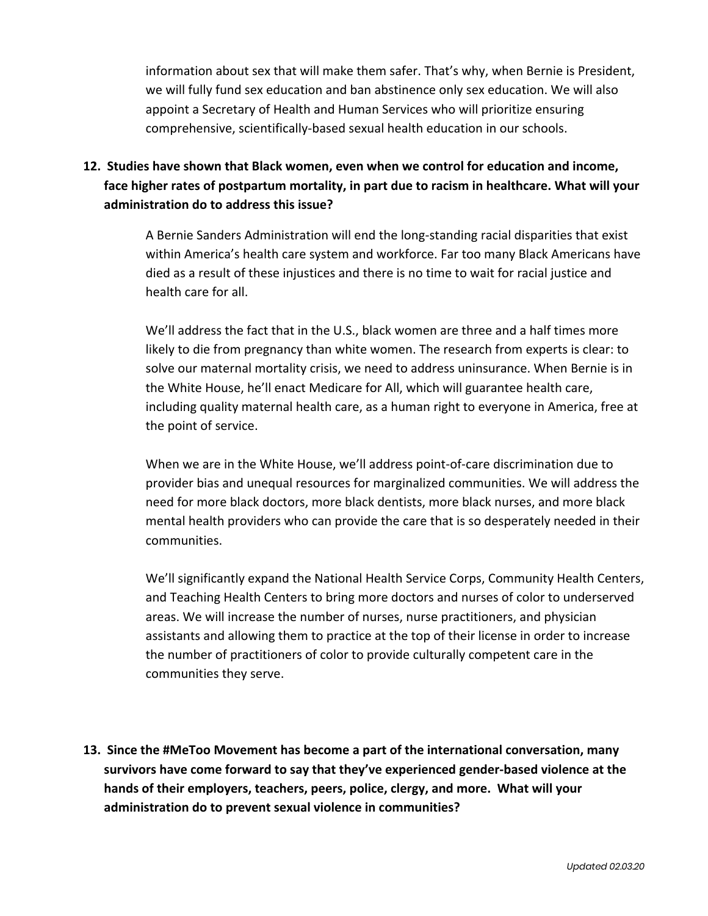information about sex that will make them safer. That's why, when Bernie is President, we will fully fund sex education and ban abstinence only sex education. We will also appoint a Secretary of Health and Human Services who will prioritize ensuring comprehensive, scientifically-based sexual health education in our schools.

# **12. Studies have shown that Black women, even when we control for education and income, face higher rates of postpartum mortality, in part due to racism in healthcare. What will your administration do to address this issue?**

A Bernie Sanders Administration will end the long-standing racial disparities that exist within America's health care system and workforce. Far too many Black Americans have died as a result of these injustices and there is no time to wait for racial justice and health care for all.

We'll address the fact that in the U.S., black women are three and a half times more likely to die from pregnancy than white women. The research from experts is clear: to solve our maternal mortality crisis, we need to address uninsurance. When Bernie is in the White House, he'll enact Medicare for All, which will guarantee health care, including quality maternal health care, as a human right to everyone in America, free at the point of service.

When we are in the White House, we'll address point-of-care discrimination due to provider bias and unequal resources for marginalized communities. We will address the need for more black doctors, more black dentists, more black nurses, and more black mental health providers who can provide the care that is so desperately needed in their communities.

We'll significantly expand the National Health Service Corps, Community Health Centers, and Teaching Health Centers to bring more doctors and nurses of color to underserved areas. We will increase the number of nurses, nurse practitioners, and physician assistants and allowing them to practice at the top of their license in order to increase the number of practitioners of color to provide culturally competent care in the communities they serve.

**13. Since the #MeToo Movement has become a part of the international conversation, many survivors have come forward to say that they've experienced gender-based violence at the hands of their employers, teachers, peers, police, clergy, and more. What will your administration do to prevent sexual violence in communities?**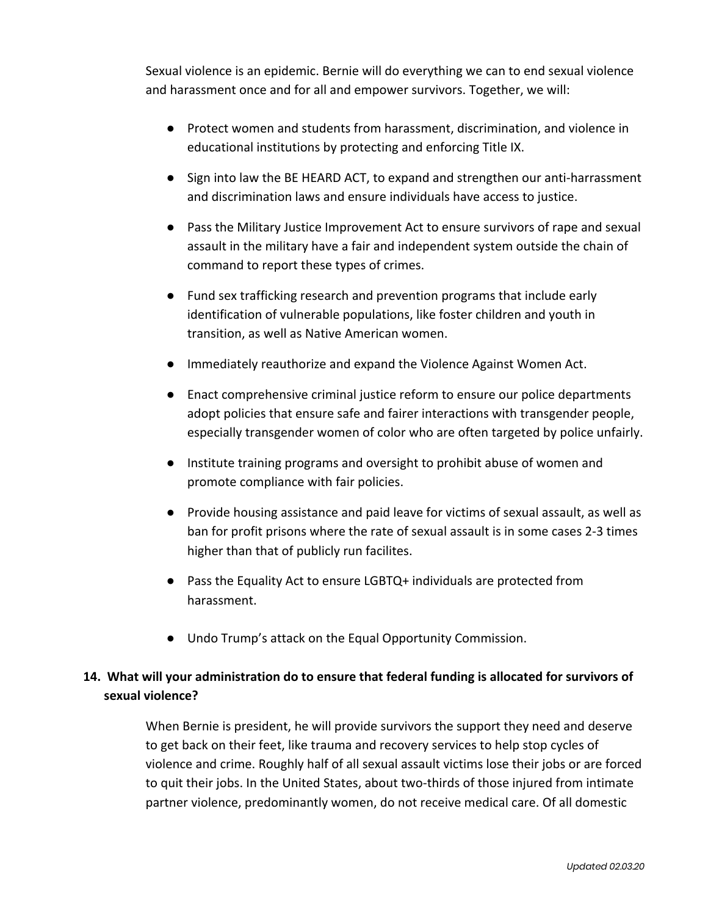Sexual violence is an epidemic. Bernie will do everything we can to end sexual violence and harassment once and for all and empower survivors. Together, we will:

- Protect women and students from harassment, discrimination, and violence in educational institutions by protecting and enforcing Title IX.
- Sign into law the BE HEARD ACT, to expand and strengthen our anti-harrassment and discrimination laws and ensure individuals have access to justice.
- Pass the Military Justice Improvement Act to ensure survivors of rape and sexual assault in the military have a fair and independent system outside the chain of command to report these types of crimes.
- Fund sex trafficking research and prevention programs that include early identification of vulnerable populations, like foster children and youth in transition, as well as Native American women.
- Immediately reauthorize and expand the Violence Against Women Act.
- Enact comprehensive criminal justice reform to ensure our police departments adopt policies that ensure safe and fairer interactions with transgender people, especially transgender women of color who are often targeted by police unfairly.
- Institute training programs and oversight to prohibit abuse of women and promote compliance with fair policies.
- Provide housing assistance and paid leave for victims of sexual assault, as well as ban for profit prisons where the rate of sexual assault is in some cases 2-3 times higher than that of publicly run facilites.
- Pass the Equality Act to ensure LGBTQ+ individuals are protected from harassment.
- Undo Trump's attack on the Equal Opportunity Commission.

## **14. What will your administration do to ensure that federal funding is allocated for survivors of sexual violence?**

When Bernie is president, he will provide survivors the support they need and deserve to get back on their feet, like trauma and recovery services to help stop cycles of violence and crime. Roughly half of all sexual assault victims lose their jobs or are forced to quit their jobs. In the United States, about two-thirds of those injured from intimate partner violence, predominantly women, do not receive medical care. Of all domestic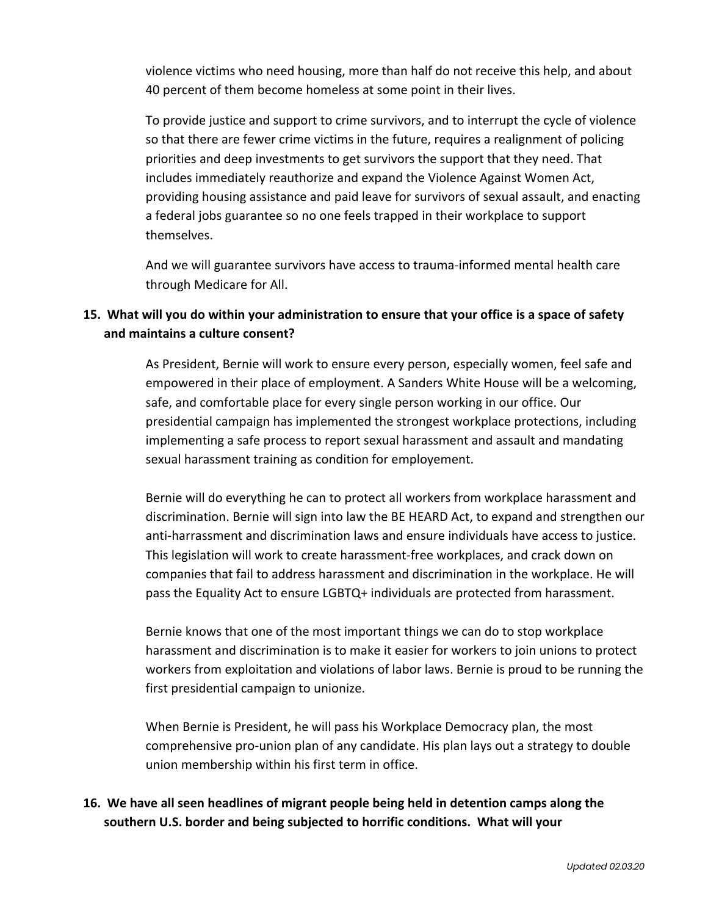violence victims who need housing, more than half do not receive this help, and about 40 percent of them become homeless at some point in their lives.

To provide justice and support to crime survivors, and to interrupt the cycle of violence so that there are fewer crime victims in the future, requires a realignment of policing priorities and deep investments to get survivors the support that they need. That includes immediately reauthorize and expand the Violence Against Women Act, providing housing assistance and paid leave for survivors of sexual assault, and enacting a federal jobs guarantee so no one feels trapped in their workplace to support themselves.

And we will guarantee survivors have access to trauma-informed mental health care through Medicare for All.

# **15. What will you do within your administration to ensure that your office is a space of safety and maintains a culture consent?**

As President, Bernie will work to ensure every person, especially women, feel safe and empowered in their place of employment. A Sanders White House will be a welcoming, safe, and comfortable place for every single person working in our office. Our presidential campaign has implemented the strongest workplace protections, including implementing a safe process to report sexual harassment and assault and mandating sexual harassment training as condition for employement.

Bernie will do everything he can to protect all workers from workplace harassment and discrimination. Bernie will sign into law the BE HEARD Act, to expand and strengthen our anti-harrassment and discrimination laws and ensure individuals have access to justice. This legislation will work to create harassment-free workplaces, and crack down on companies that fail to address harassment and discrimination in the workplace. He will pass the Equality Act to ensure LGBTQ+ individuals are protected from harassment.

Bernie knows that one of the most important things we can do to stop workplace harassment and discrimination is to make it easier for workers to join unions to protect workers from exploitation and violations of labor laws. Bernie is proud to be running the first presidential campaign to unionize.

When Bernie is President, he will pass his Workplace Democracy plan, the most comprehensive pro-union plan of any candidate. His plan lays out a strategy to double union membership within his first term in office.

### **16. We have all seen headlines of migrant people being held in detention camps along the southern U.S. border and being subjected to horrific conditions. What will your**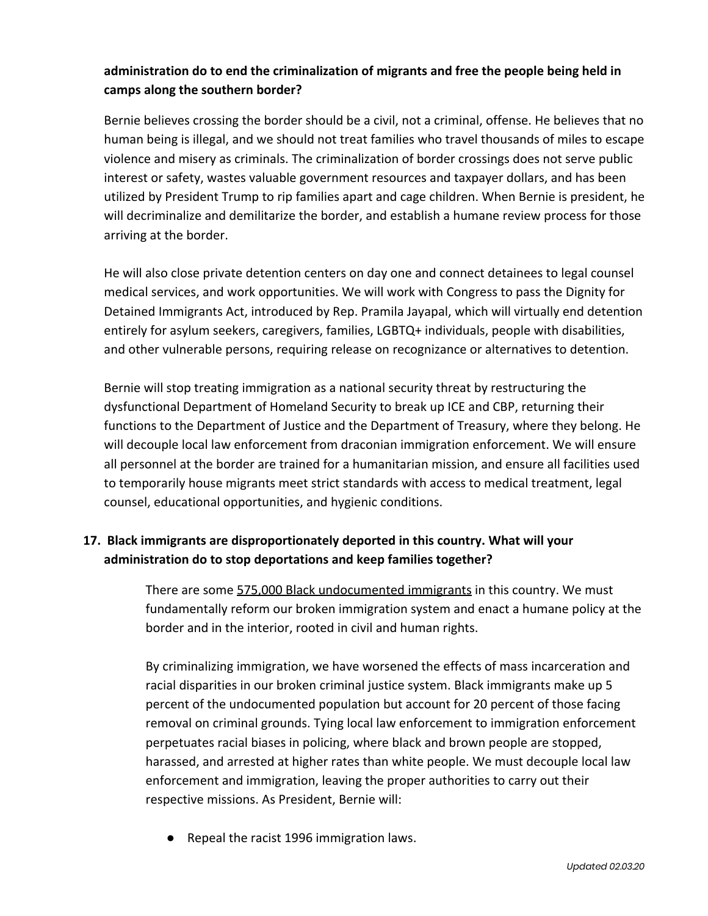## **administration do to end the criminalization of migrants and free the people being held in camps along the southern border?**

Bernie believes crossing the border should be a civil, not a criminal, offense. He believes that no human being is illegal, and we should not treat families who travel thousands of miles to escape violence and misery as criminals. The criminalization of border crossings does not serve public interest or safety, wastes valuable government resources and taxpayer dollars, and has been utilized by President Trump to rip families apart and cage children. When Bernie is president, he will decriminalize and demilitarize the border, and establish a humane review process for those arriving at the border.

He will also close private detention centers on day one and connect detainees to legal counsel medical services, and work opportunities. We will work with Congress to pass the Dignity for Detained Immigrants Act, introduced by Rep. Pramila Jayapal, which will virtually end detention entirely for asylum seekers, caregivers, families, LGBTQ+ individuals, people with disabilities, and other vulnerable persons, requiring release on recognizance or alternatives to detention.

Bernie will stop treating immigration as a national security threat by restructuring the dysfunctional Department of Homeland Security to break up ICE and CBP, returning their functions to the Department of Justice and the Department of Treasury, where they belong. He will decouple local law enforcement from draconian immigration enforcement. We will ensure all personnel at the border are trained for a humanitarian mission, and ensure all facilities used to temporarily house migrants meet strict standards with access to medical treatment, legal counsel, educational opportunities, and hygienic conditions.

# **17. Black immigrants are disproportionately deported in this country. What will your administration do to stop deportations and keep families together?**

There are some [575,000 Black undocumented immigrants](https://crooked.com/articles/21-savage-black-immigrant-trap/) in this country. We must fundamentally reform our broken immigration system and enact a humane policy at the border and in the interior, rooted in civil and human rights.

By criminalizing immigration, we have worsened the effects of mass incarceration and racial disparities in our broken criminal justice system. Black immigrants make up 5 percent of the undocumented population but account for 20 percent of those facing removal on criminal grounds. Tying local law enforcement to immigration enforcement perpetuates racial biases in policing, where black and brown people are stopped, harassed, and arrested at higher rates than white people. We must decouple local law enforcement and immigration, leaving the proper authorities to carry out their respective missions. As President, Bernie will:

● Repeal the racist 1996 immigration laws.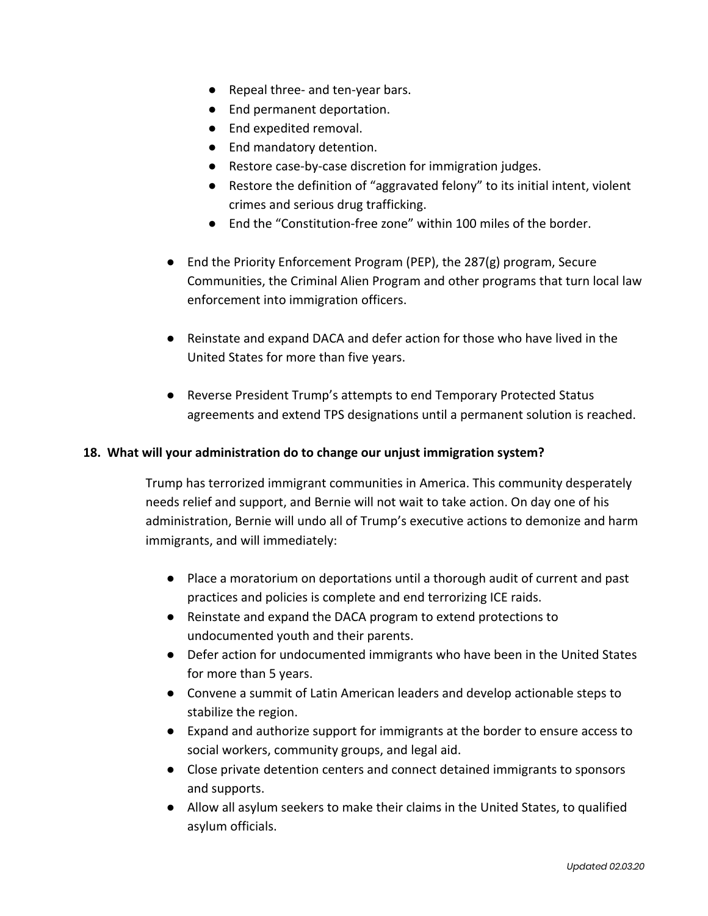- Repeal three- and ten-year bars.
- End permanent deportation.
- End expedited removal.
- End mandatory detention.
- Restore case-by-case discretion for immigration judges.
- Restore the definition of "aggravated felony" to its initial intent, violent crimes and serious drug trafficking.
- End the "Constitution-free zone" within 100 miles of the border.
- End the Priority Enforcement Program (PEP), the 287(g) program, Secure Communities, the Criminal Alien Program and other programs that turn local law enforcement into immigration officers.
- Reinstate and expand DACA and defer action for those who have lived in the United States for more than five years.
- Reverse President Trump's attempts to end Temporary Protected Status agreements and extend TPS designations until a permanent solution is reached.

#### **18. What will your administration do to change our unjust immigration system?**

Trump has terrorized immigrant communities in America. This community desperately needs relief and support, and Bernie will not wait to take action. On day one of his administration, Bernie will undo all of Trump's executive actions to demonize and harm immigrants, and will immediately:

- Place a moratorium on deportations until a thorough audit of current and past practices and policies is complete and end terrorizing ICE raids.
- Reinstate and expand the DACA program to extend protections to undocumented youth and their parents.
- Defer action for undocumented immigrants who have been in the United States for more than 5 years.
- Convene a summit of Latin American leaders and develop actionable steps to stabilize the region.
- Expand and authorize support for immigrants at the border to ensure access to social workers, community groups, and legal aid.
- Close private detention centers and connect detained immigrants to sponsors and supports.
- Allow all asylum seekers to make their claims in the United States, to qualified asylum officials.